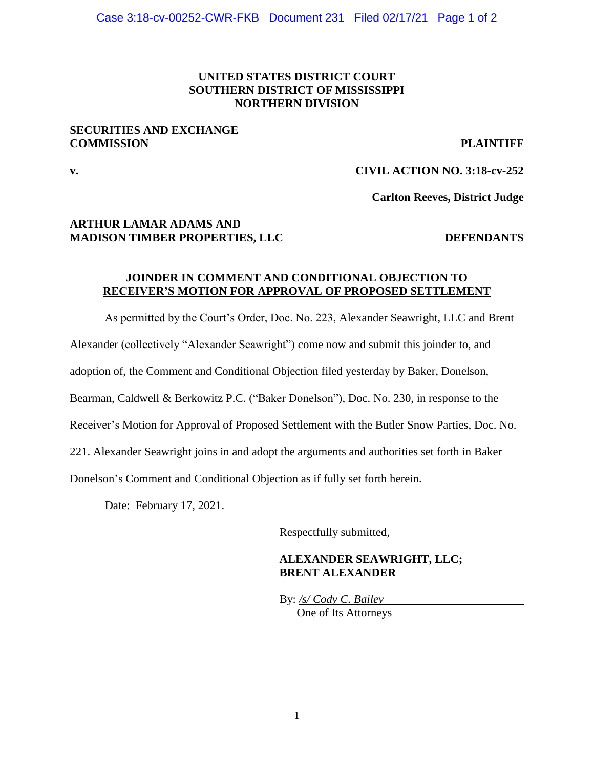### **UNITED STATES DISTRICT COURT SOUTHERN DISTRICT OF MISSISSIPPI NORTHERN DIVISION**

### **SECURITIES AND EXCHANGE COMMISSION PLAINTIFF**

# **v. CIVIL ACTION NO. 3:18-cv-252**

**Carlton Reeves, District Judge**

## **ARTHUR LAMAR ADAMS AND MADISON TIMBER PROPERTIES, LLC DEFENDANTS**

### **JOINDER IN COMMENT AND CONDITIONAL OBJECTION TO RECEIVER'S MOTION FOR APPROVAL OF PROPOSED SETTLEMENT**

As permitted by the Court's Order, Doc. No. 223, Alexander Seawright, LLC and Brent

Alexander (collectively "Alexander Seawright") come now and submit this joinder to, and

adoption of, the Comment and Conditional Objection filed yesterday by Baker, Donelson,

Bearman, Caldwell & Berkowitz P.C. ("Baker Donelson"), Doc. No. 230, in response to the

Receiver's Motion for Approval of Proposed Settlement with the Butler Snow Parties, Doc. No.

221. Alexander Seawright joins in and adopt the arguments and authorities set forth in Baker

Donelson's Comment and Conditional Objection as if fully set forth herein.

Date: February 17, 2021.

Respectfully submitted,

### **ALEXANDER SEAWRIGHT, LLC; BRENT ALEXANDER**

By: */s/ Cody C. Bailey* One of Its Attorneys